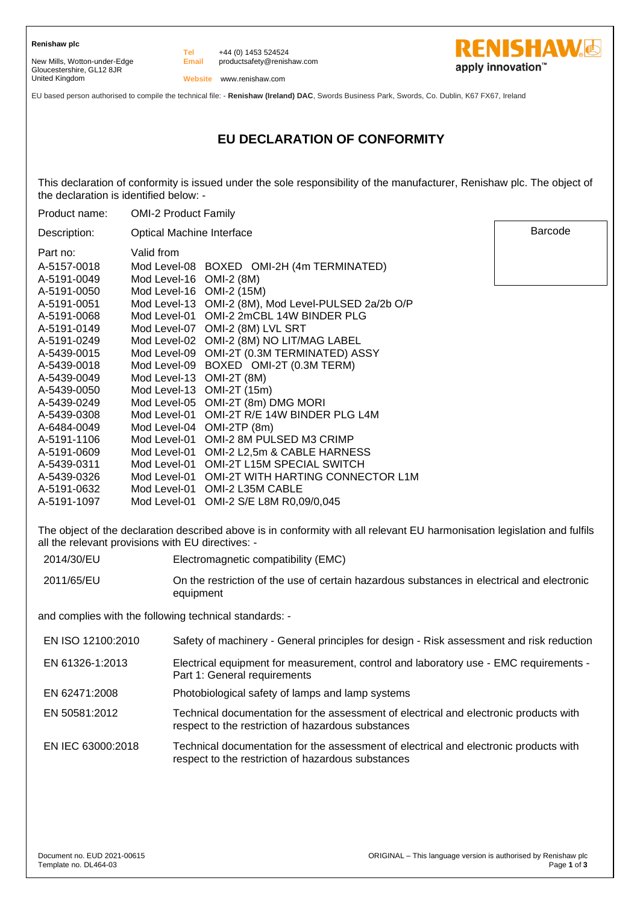New Mills, Wotton-under-Edge Gloucestershire, GL12 8JR United Kingdom

**Email** +44 (0) 1453 524524 productsafety@renishaw.com



**Tel**

**RENISHAW&** apply innovation<sup>™</sup>

Barcode

EU based person authorised to compile the technical file: - **Renishaw (Ireland) DAC**, Swords Business Park, Swords, Co. Dublin, K67 FX67, Ireland

# **EU DECLARATION OF CONFORMITY**

This declaration of conformity is issued under the sole responsibility of the manufacturer, Renishaw plc. The object of the declaration is identified below: -

| Product name: | <b>OMI-2 Product Family</b> |                                          |
|---------------|-----------------------------|------------------------------------------|
| Description:  | Optical Machine Interface   |                                          |
| Part no:      | Valid from                  |                                          |
| A-5157-0018   | Mod Level-08                | BOXED OMI-2H (4m TERMINATED)             |
| A-5191-0049   | Mod Level-16                | OMI-2 (8M)                               |
| A-5191-0050   | Mod Level-16                | OMI-2 (15M)                              |
| A-5191-0051   | Mod Level-13                | OMI-2 (8M), Mod Level-PULSED 2a/2b O/P   |
| A-5191-0068   | Mod Level-01                | OMI-2 2mCBL 14W BINDER PLG               |
| A-5191-0149   | Mod Level-07                | OMI-2 (8M) LVL SRT                       |
| A-5191-0249   | Mod Level-02                | OMI-2 (8M) NO LIT/MAG LABEL              |
| A-5439-0015   | Mod Level-09                | OMI-2T (0.3M TERMINATED) ASSY            |
| A-5439-0018   | Mod Level-09                | BOXED OMI-2T (0.3M TERM)                 |
| A-5439-0049   | Mod Level-13                | <b>OMI-2T (8M)</b>                       |
| A-5439-0050   | Mod Level-13                | OMI-2T (15m)                             |
| A-5439-0249   |                             | Mod Level-05 OMI-2T (8m) DMG MORI        |
| A-5439-0308   | Mod Level-01                | OMI-2T R/E 14W BINDER PLG L4M            |
| A-6484-0049   | Mod Level-04                | OMI-2TP (8m)                             |
| A-5191-1106   | Mod Level-01                | OMI-2 8M PULSED M3 CRIMP                 |
| A-5191-0609   | Mod Level-01                | OMI-2 L2,5m & CABLE HARNESS              |
| A-5439-0311   | Mod Level-01                | <b>OMI-2T L15M SPECIAL SWITCH</b>        |
| A-5439-0326   | Mod Level-01                | <b>OMI-2T WITH HARTING CONNECTOR L1M</b> |
| A-5191-0632   | Mod Level-01                | OMI-2 L35M CABLE                         |
| A-5191-1097   | Mod Level-01                | OMI-2 S/E L8M R0,09/0,045                |

The object of the declaration described above is in conformity with all relevant EU harmonisation legislation and fulfils all the relevant provisions with EU directives: -

2014/30/EU Electromagnetic compatibility (EMC)

2011/65/EU On the restriction of the use of certain hazardous substances in electrical and electronic

equipment

and complies with the following technical standards: -

| EN ISO 12100:2010 | Safety of machinery - General principles for design - Risk assessment and risk reduction                                                    |
|-------------------|---------------------------------------------------------------------------------------------------------------------------------------------|
| EN 61326-1:2013   | Electrical equipment for measurement, control and laboratory use - EMC requirements -<br>Part 1: General requirements                       |
| EN 62471:2008     | Photobiological safety of lamps and lamp systems                                                                                            |
| EN 50581:2012     | Technical documentation for the assessment of electrical and electronic products with<br>respect to the restriction of hazardous substances |
| EN IEC 63000:2018 | Technical documentation for the assessment of electrical and electronic products with<br>respect to the restriction of hazardous substances |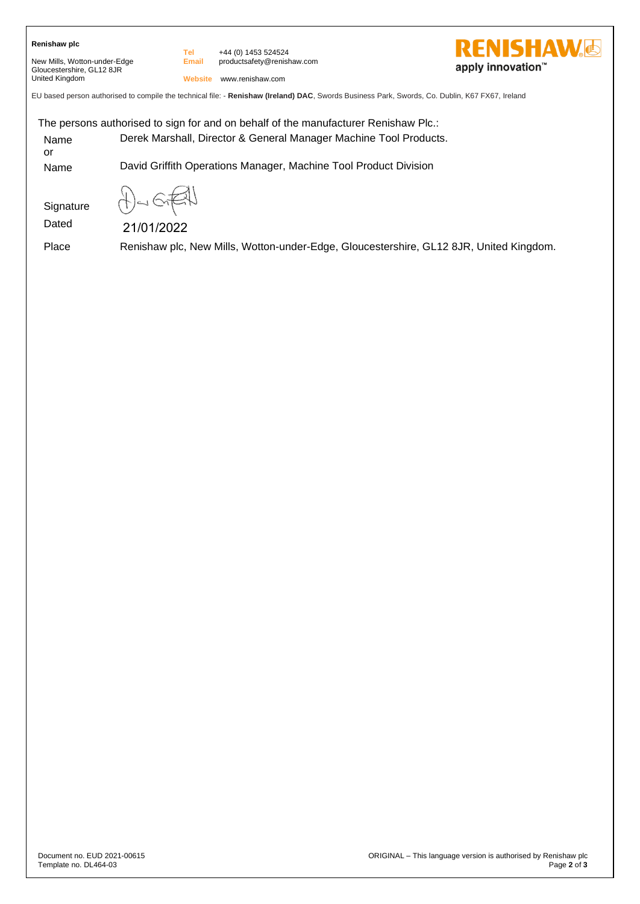# **Renishaw plc**

New Mills, Wotton-under-Edge Gloucestershire, GL12 8JR United Kingdom

**Email** +44 (0) 1453 524524 productsafety@renishaw.com

**Website** www.renishaw.com

**Tel**

EU based person authorised to compile the technical file: - **Renishaw (Ireland) DAC**, Swords Business Park, Swords, Co. Dublin, K67 FX67, Ireland

The persons authorised to sign for and on behalf of the manufacturer Renishaw Plc.: Name or Derek Marshall, Director & General Manager Machine Tool Products. Name David Griffith Operations Manager, Machine Tool Product Division

**Signature** 

21/01/2022

Dated

Place Renishaw plc, New Mills, Wotton-under-Edge, Gloucestershire, GL12 8JR, United Kingdom.

**ENISHAW.** 

apply innovation<sup>™</sup>